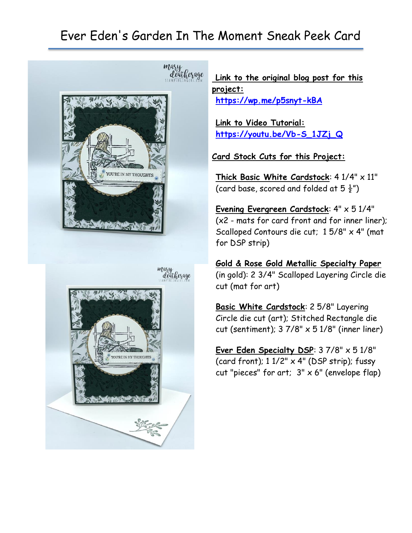## Ever Eden's Garden In The Moment Sneak Peek Card





**Link to the original blog post for this project: <https://wp.me/p5snyt-kBA>**

**Link to Video Tutorial: [https://youtu.be/Vb-S\\_1JZj\\_Q](https://youtu.be/Vb-S_1JZj_Q)**

**Card Stock Cuts for this Project:**

**Thick Basic White Cardstock**: 4 1/4" x 11" (card base, scored and folded at  $5\frac{1}{2}$ ")

**Evening Evergreen Cardstock**: 4" x 5 1/4" (x2 - mats for card front and for inner liner); Scalloped Contours die cut; 1 5/8" x 4" (mat for DSP strip)

**Gold & Rose Gold Metallic Specialty Paper** (in gold): 2 3/4" Scalloped Layering Circle die cut (mat for art)

**Basic White Cardstock**: 2 5/8" Layering Circle die cut (art); Stitched Rectangle die cut (sentiment);  $37/8" \times 51/8"$  (inner liner)

**Ever Eden Specialty DSP**: 3 7/8" x 5 1/8" (card front); 1 1/2" x 4" (DSP strip); fussy cut "pieces" for art;  $3" \times 6"$  (envelope flap)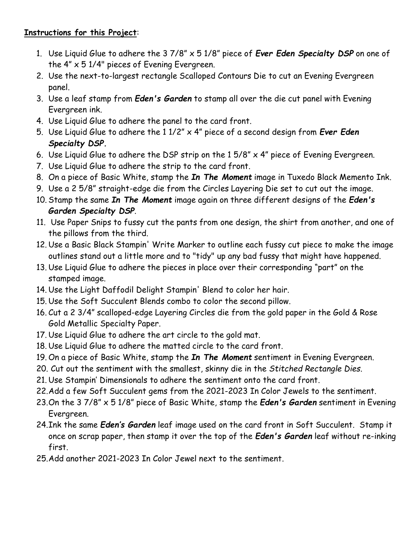## **Instructions for this Project**:

- 1. Use Liquid Glue to adhere the 3 7/8" x 5 1/8" piece of *Ever Eden Specialty DSP* on one of the 4" x 5 1/4" pieces of Evening Evergreen.
- 2. Use the next-to-largest rectangle Scalloped Contours Die to cut an Evening Evergreen panel.
- 3. Use a leaf stamp from *Eden's Garden* to stamp all over the die cut panel with Evening Evergreen ink.
- 4. Use Liquid Glue to adhere the panel to the card front.
- 5. Use Liquid Glue to adhere the 1 1/2" x 4" piece of a second design from *Ever Eden Specialty DSP.*
- 6. Use Liquid Glue to adhere the DSP strip on the 1 5/8" x 4" piece of Evening Evergreen.
- 7. Use Liquid Glue to adhere the strip to the card front.
- 8. On a piece of Basic White, stamp the *In The Moment* image in Tuxedo Black Memento Ink.
- 9. Use a 2 5/8" straight-edge die from the Circles Layering Die set to cut out the image.
- 10. Stamp the same *In The Moment* image again on three different designs of the *Eden's Garden Specialty DSP*.
- 11. Use Paper Snips to fussy cut the pants from one design, the shirt from another, and one of the pillows from the third.
- 12. Use a Basic Black Stampin' Write Marker to outline each fussy cut piece to make the image outlines stand out a little more and to "tidy" up any bad fussy that might have happened.
- 13. Use Liquid Glue to adhere the pieces in place over their corresponding "part" on the stamped image.
- 14. Use the Light Daffodil Delight Stampin' Blend to color her hair.
- 15. Use the Soft Succulent Blends combo to color the second pillow.
- 16. Cut a 2 3/4" scalloped-edge Layering Circles die from the gold paper in the Gold & Rose Gold Metallic Specialty Paper.
- 17. Use Liquid Glue to adhere the art circle to the gold mat.
- 18. Use Liquid Glue to adhere the matted circle to the card front.
- 19. On a piece of Basic White, stamp the *In The Moment* sentiment in Evening Evergreen.
- 20. Cut out the sentiment with the smallest, skinny die in the *Stitched Rectangle Dies*.
- 21. Use Stampin' Dimensionals to adhere the sentiment onto the card front.
- 22.Add a few Soft Succulent gems from the 2021-2023 In Color Jewels to the sentiment.
- 23.On the 3 7/8" x 5 1/8" piece of Basic White, stamp the *Eden's Garden* sentiment in Evening Evergreen.
- 24.Ink the same *Eden's Garden* leaf image used on the card front in Soft Succulent. Stamp it once on scrap paper, then stamp it over the top of the *Eden's Garden* leaf without re-inking first.
- 25.Add another 2021-2023 In Color Jewel next to the sentiment.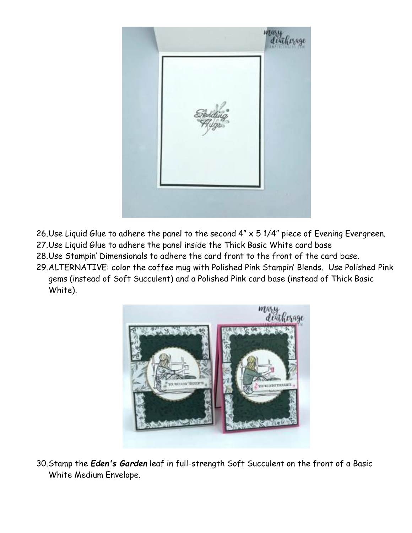

- 26.Use Liquid Glue to adhere the panel to the second 4" x 5 1/4" piece of Evening Evergreen. 27.Use Liquid Glue to adhere the panel inside the Thick Basic White card base
- 28.Use Stampin' Dimensionals to adhere the card front to the front of the card base.
- 29.ALTERNATIVE: color the coffee mug with Polished Pink Stampin' Blends. Use Polished Pink gems (instead of Soft Succulent) and a Polished Pink card base (instead of Thick Basic White).



30.Stamp the *Eden's Garden* leaf in full-strength Soft Succulent on the front of a Basic White Medium Envelope.